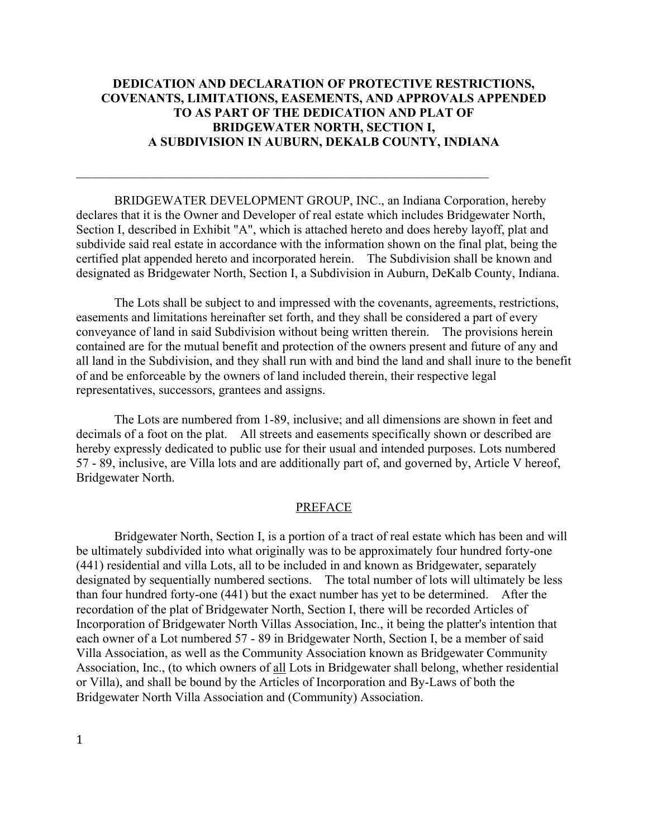# **DEDICATION AND DECLARATION OF PROTECTIVE RESTRICTIONS, COVENANTS, LIMITATIONS, EASEMENTS, AND APPROVALS APPENDED TO AS PART OF THE DEDICATION AND PLAT OF BRIDGEWATER NORTH, SECTION I, A SUBDIVISION IN AUBURN, DEKALB COUNTY, INDIANA**

BRIDGEWATER DEVELOPMENT GROUP, INC., an Indiana Corporation, hereby declares that it is the Owner and Developer of real estate which includes Bridgewater North, Section I, described in Exhibit "A", which is attached hereto and does hereby layoff, plat and subdivide said real estate in accordance with the information shown on the final plat, being the certified plat appended hereto and incorporated herein. The Subdivision shall be known and designated as Bridgewater North, Section I, a Subdivision in Auburn, DeKalb County, Indiana.

 $\mathcal{L}_\text{max}$  , and the contribution of the contribution of the contribution of the contribution of the contribution of the contribution of the contribution of the contribution of the contribution of the contribution of t

The Lots shall be subject to and impressed with the covenants, agreements, restrictions, easements and limitations hereinafter set forth, and they shall be considered a part of every conveyance of land in said Subdivision without being written therein. The provisions herein contained are for the mutual benefit and protection of the owners present and future of any and all land in the Subdivision, and they shall run with and bind the land and shall inure to the benefit of and be enforceable by the owners of land included therein, their respective legal representatives, successors, grantees and assigns.

The Lots are numbered from 1-89, inclusive; and all dimensions are shown in feet and decimals of a foot on the plat. All streets and easements specifically shown or described are hereby expressly dedicated to public use for their usual and intended purposes. Lots numbered 57 - 89, inclusive, are Villa lots and are additionally part of, and governed by, Article V hereof, Bridgewater North.

### PREFACE

Bridgewater North, Section I, is a portion of a tract of real estate which has been and will be ultimately subdivided into what originally was to be approximately four hundred forty-one (441) residential and villa Lots, all to be included in and known as Bridgewater, separately designated by sequentially numbered sections. The total number of lots will ultimately be less than four hundred forty-one (441) but the exact number has yet to be determined. After the recordation of the plat of Bridgewater North, Section I, there will be recorded Articles of Incorporation of Bridgewater North Villas Association, Inc., it being the platter's intention that each owner of a Lot numbered 57 - 89 in Bridgewater North, Section I, be a member of said Villa Association, as well as the Community Association known as Bridgewater Community Association, Inc., (to which owners of all Lots in Bridgewater shall belong, whether residential or Villa), and shall be bound by the Articles of Incorporation and By-Laws of both the Bridgewater North Villa Association and (Community) Association.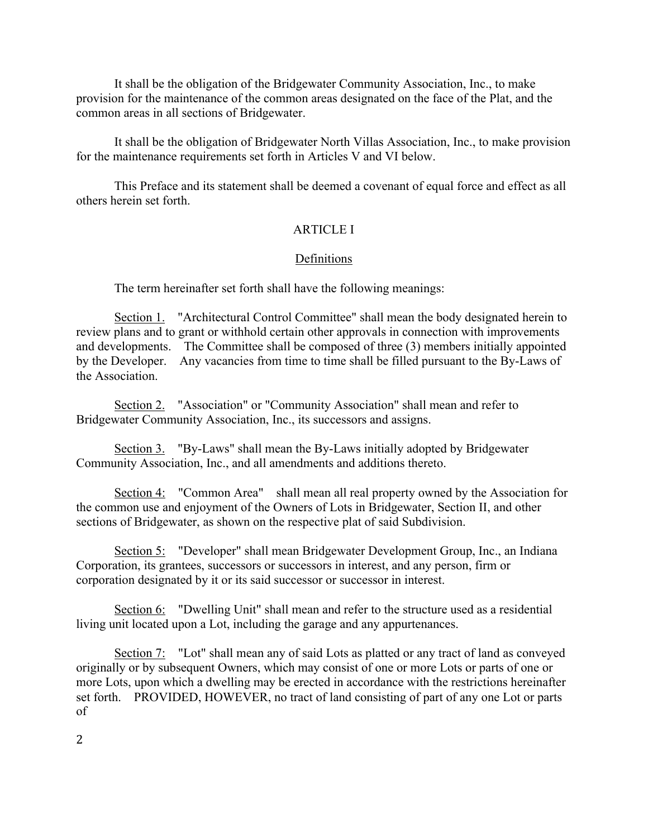It shall be the obligation of the Bridgewater Community Association, Inc., to make provision for the maintenance of the common areas designated on the face of the Plat, and the common areas in all sections of Bridgewater.

It shall be the obligation of Bridgewater North Villas Association, Inc., to make provision for the maintenance requirements set forth in Articles V and VI below.

This Preface and its statement shall be deemed a covenant of equal force and effect as all others herein set forth.

# ARTICLE I

## Definitions

The term hereinafter set forth shall have the following meanings:

Section 1. "Architectural Control Committee" shall mean the body designated herein to review plans and to grant or withhold certain other approvals in connection with improvements and developments. The Committee shall be composed of three (3) members initially appointed by the Developer. Any vacancies from time to time shall be filled pursuant to the By-Laws of the Association.

Section 2. "Association" or "Community Association" shall mean and refer to Bridgewater Community Association, Inc., its successors and assigns.

Section 3. "By-Laws" shall mean the By-Laws initially adopted by Bridgewater Community Association, Inc., and all amendments and additions thereto.

Section 4: "Common Area" shall mean all real property owned by the Association for the common use and enjoyment of the Owners of Lots in Bridgewater, Section II, and other sections of Bridgewater, as shown on the respective plat of said Subdivision.

Section 5: "Developer" shall mean Bridgewater Development Group, Inc., an Indiana Corporation, its grantees, successors or successors in interest, and any person, firm or corporation designated by it or its said successor or successor in interest.

Section 6: "Dwelling Unit" shall mean and refer to the structure used as a residential living unit located upon a Lot, including the garage and any appurtenances.

Section 7: "Lot" shall mean any of said Lots as platted or any tract of land as conveyed originally or by subsequent Owners, which may consist of one or more Lots or parts of one or more Lots, upon which a dwelling may be erected in accordance with the restrictions hereinafter set forth. PROVIDED, HOWEVER, no tract of land consisting of part of any one Lot or parts of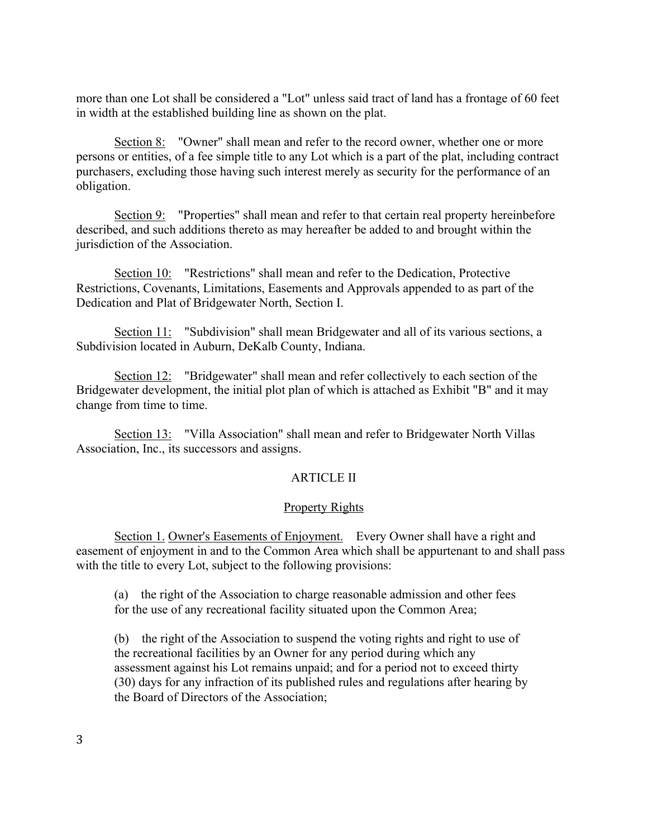more than one Lot shall be considered a "Lot" unless said tract of land has a frontage of 60 feet in width at the established building line as shown on the plat.

Section 8: "Owner" shall mean and refer to the record owner, whether one or more persons or entities, of a fee simple title to any Lot which is a part of the plat, including contract purchasers, excluding those having such interest merely as security for the performance of an obligation.

Section 9: "Properties" shall mean and refer to that certain real property hereinbefore described, and such additions thereto as may hereafter be added to and brought within the jurisdiction of the Association.

Section 10: "Restrictions" shall mean and refer to the Dedication, Protective Restrictions, Covenants, Limitations, Easements and Approvals appended to as part of the Dedication and Plat of Bridgewater North, Section I.

Section 11: "Subdivision" shall mean Bridgewater and all of its various sections, a Subdivision located in Auburn, DeKalb County, Indiana.

Section 12: "Bridgewater" shall mean and refer collectively to each section of the Bridgewater development, the initial plot plan of which is attached as Exhibit "B" and it may change from time to time.

Section 13: "Villa Association" shall mean and refer to Bridgewater North Villas Association, Inc., its successors and assigns.

# ARTICLE II

## Property Rights

Section 1. Owner's Easements of Enjoyment. Every Owner shall have a right and easement of enjoyment in and to the Common Area which shall be appurtenant to and shall pass with the title to every Lot, subject to the following provisions:

(a) the right of the Association to charge reasonable admission and other fees for the use of any recreational facility situated upon the Common Area;

(b) the right of the Association to suspend the voting rights and right to use of the recreational facilities by an Owner for any period during which any assessment against his Lot remains unpaid; and for a period not to exceed thirty (30) days for any infraction of its published rules and regulations after hearing by the Board of Directors of the Association;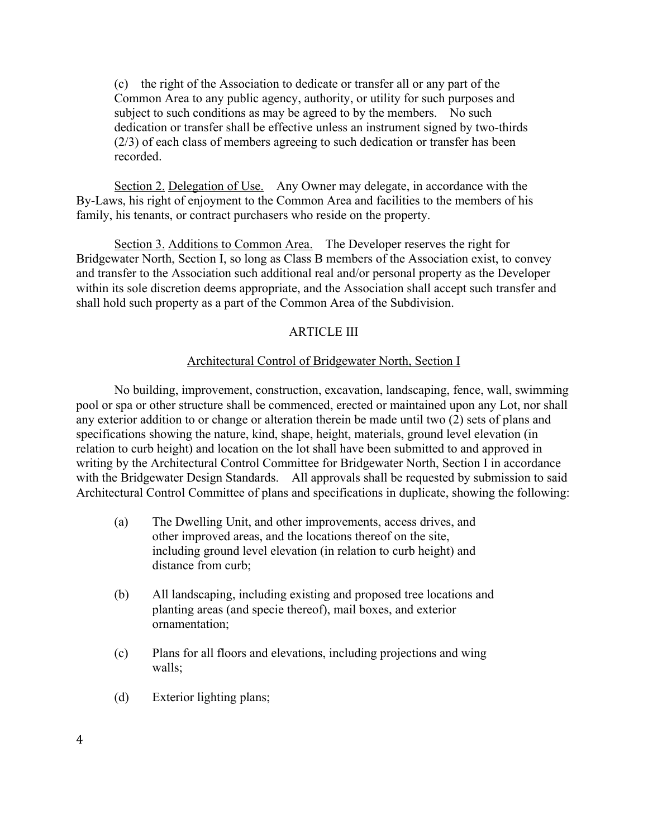(c) the right of the Association to dedicate or transfer all or any part of the Common Area to any public agency, authority, or utility for such purposes and subject to such conditions as may be agreed to by the members. No such dedication or transfer shall be effective unless an instrument signed by two-thirds (2/3) of each class of members agreeing to such dedication or transfer has been recorded.

Section 2. Delegation of Use. Any Owner may delegate, in accordance with the By-Laws, his right of enjoyment to the Common Area and facilities to the members of his family, his tenants, or contract purchasers who reside on the property.

Section 3. Additions to Common Area. The Developer reserves the right for Bridgewater North, Section I, so long as Class B members of the Association exist, to convey and transfer to the Association such additional real and/or personal property as the Developer within its sole discretion deems appropriate, and the Association shall accept such transfer and shall hold such property as a part of the Common Area of the Subdivision.

# ARTICLE III

## Architectural Control of Bridgewater North, Section I

No building, improvement, construction, excavation, landscaping, fence, wall, swimming pool or spa or other structure shall be commenced, erected or maintained upon any Lot, nor shall any exterior addition to or change or alteration therein be made until two (2) sets of plans and specifications showing the nature, kind, shape, height, materials, ground level elevation (in relation to curb height) and location on the lot shall have been submitted to and approved in writing by the Architectural Control Committee for Bridgewater North, Section I in accordance with the Bridgewater Design Standards. All approvals shall be requested by submission to said Architectural Control Committee of plans and specifications in duplicate, showing the following:

- (a) The Dwelling Unit, and other improvements, access drives, and other improved areas, and the locations thereof on the site, including ground level elevation (in relation to curb height) and distance from curb;
- (b) All landscaping, including existing and proposed tree locations and planting areas (and specie thereof), mail boxes, and exterior ornamentation;
- (c) Plans for all floors and elevations, including projections and wing walls;
- (d) Exterior lighting plans;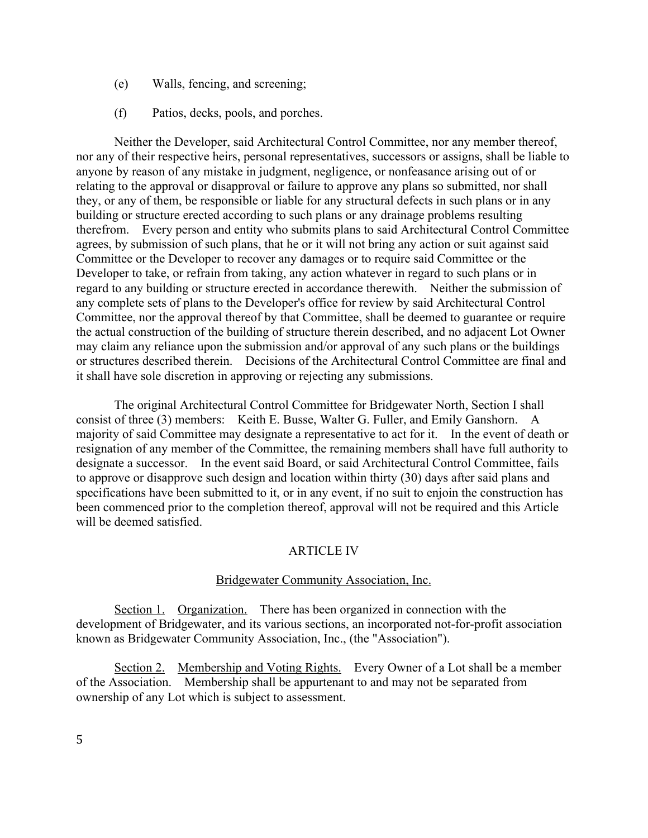- (e) Walls, fencing, and screening;
- (f) Patios, decks, pools, and porches.

Neither the Developer, said Architectural Control Committee, nor any member thereof, nor any of their respective heirs, personal representatives, successors or assigns, shall be liable to anyone by reason of any mistake in judgment, negligence, or nonfeasance arising out of or relating to the approval or disapproval or failure to approve any plans so submitted, nor shall they, or any of them, be responsible or liable for any structural defects in such plans or in any building or structure erected according to such plans or any drainage problems resulting therefrom. Every person and entity who submits plans to said Architectural Control Committee agrees, by submission of such plans, that he or it will not bring any action or suit against said Committee or the Developer to recover any damages or to require said Committee or the Developer to take, or refrain from taking, any action whatever in regard to such plans or in regard to any building or structure erected in accordance therewith. Neither the submission of any complete sets of plans to the Developer's office for review by said Architectural Control Committee, nor the approval thereof by that Committee, shall be deemed to guarantee or require the actual construction of the building of structure therein described, and no adjacent Lot Owner may claim any reliance upon the submission and/or approval of any such plans or the buildings or structures described therein. Decisions of the Architectural Control Committee are final and it shall have sole discretion in approving or rejecting any submissions.

The original Architectural Control Committee for Bridgewater North, Section I shall consist of three (3) members: Keith E. Busse, Walter G. Fuller, and Emily Ganshorn. A majority of said Committee may designate a representative to act for it. In the event of death or resignation of any member of the Committee, the remaining members shall have full authority to designate a successor. In the event said Board, or said Architectural Control Committee, fails to approve or disapprove such design and location within thirty (30) days after said plans and specifications have been submitted to it, or in any event, if no suit to enjoin the construction has been commenced prior to the completion thereof, approval will not be required and this Article will be deemed satisfied.

## ARTICLE IV

#### Bridgewater Community Association, Inc.

Section 1. Organization. There has been organized in connection with the development of Bridgewater, and its various sections, an incorporated not-for-profit association known as Bridgewater Community Association, Inc., (the "Association").

Section 2. Membership and Voting Rights. Every Owner of a Lot shall be a member of the Association. Membership shall be appurtenant to and may not be separated from ownership of any Lot which is subject to assessment.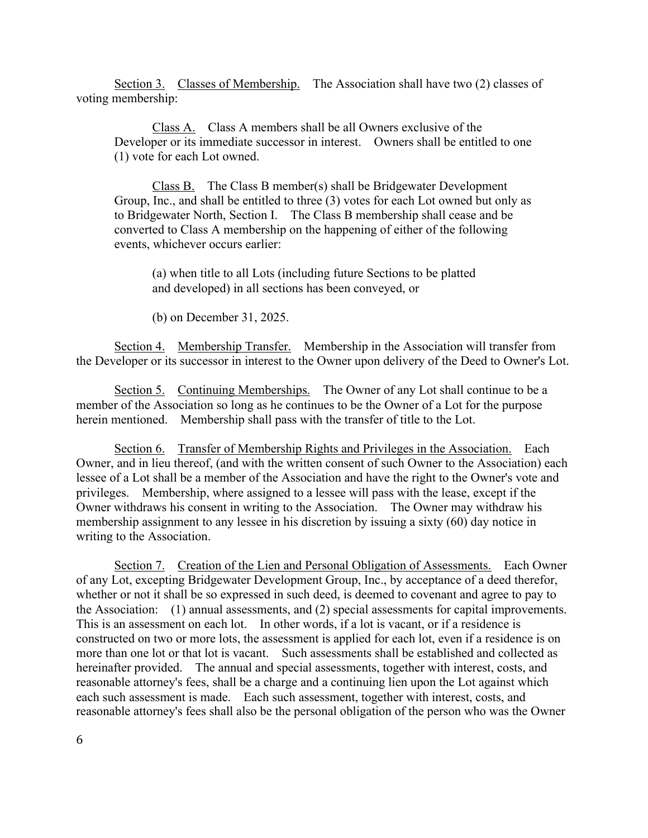Section 3. Classes of Membership. The Association shall have two (2) classes of voting membership:

Class A. Class A members shall be all Owners exclusive of the Developer or its immediate successor in interest. Owners shall be entitled to one (1) vote for each Lot owned.

Class B. The Class B member(s) shall be Bridgewater Development Group, Inc., and shall be entitled to three (3) votes for each Lot owned but only as to Bridgewater North, Section I. The Class B membership shall cease and be converted to Class A membership on the happening of either of the following events, whichever occurs earlier:

(a) when title to all Lots (including future Sections to be platted and developed) in all sections has been conveyed, or

(b) on December 31, 2025.

Section 4. Membership Transfer. Membership in the Association will transfer from the Developer or its successor in interest to the Owner upon delivery of the Deed to Owner's Lot.

Section 5. Continuing Memberships. The Owner of any Lot shall continue to be a member of the Association so long as he continues to be the Owner of a Lot for the purpose herein mentioned. Membership shall pass with the transfer of title to the Lot.

Section 6. Transfer of Membership Rights and Privileges in the Association. Each Owner, and in lieu thereof, (and with the written consent of such Owner to the Association) each lessee of a Lot shall be a member of the Association and have the right to the Owner's vote and privileges. Membership, where assigned to a lessee will pass with the lease, except if the Owner withdraws his consent in writing to the Association. The Owner may withdraw his membership assignment to any lessee in his discretion by issuing a sixty (60) day notice in writing to the Association.

Section 7. Creation of the Lien and Personal Obligation of Assessments. Each Owner of any Lot, excepting Bridgewater Development Group, Inc., by acceptance of a deed therefor, whether or not it shall be so expressed in such deed, is deemed to covenant and agree to pay to the Association: (1) annual assessments, and (2) special assessments for capital improvements. This is an assessment on each lot. In other words, if a lot is vacant, or if a residence is constructed on two or more lots, the assessment is applied for each lot, even if a residence is on more than one lot or that lot is vacant. Such assessments shall be established and collected as hereinafter provided. The annual and special assessments, together with interest, costs, and reasonable attorney's fees, shall be a charge and a continuing lien upon the Lot against which each such assessment is made. Each such assessment, together with interest, costs, and reasonable attorney's fees shall also be the personal obligation of the person who was the Owner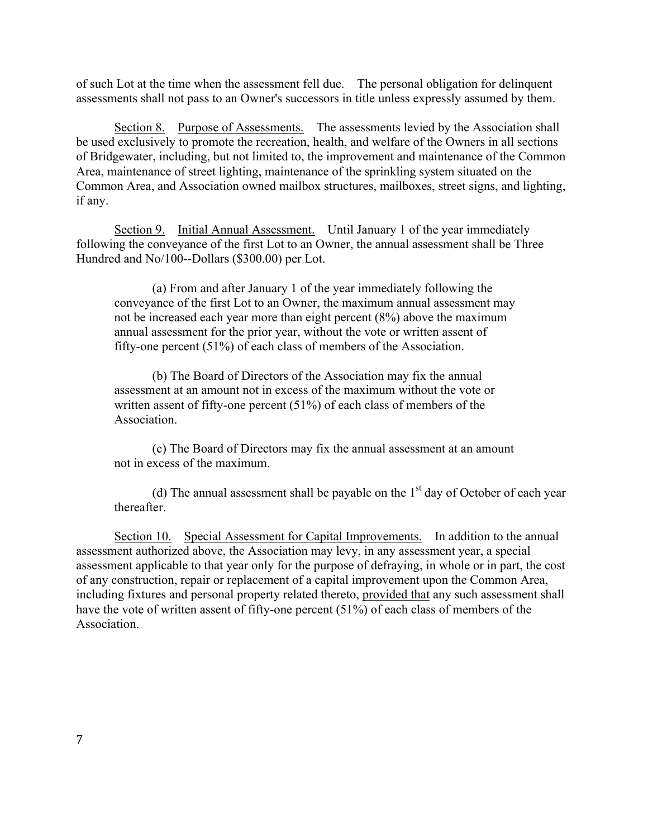of such Lot at the time when the assessment fell due. The personal obligation for delinquent assessments shall not pass to an Owner's successors in title unless expressly assumed by them.

Section 8. Purpose of Assessments. The assessments levied by the Association shall be used exclusively to promote the recreation, health, and welfare of the Owners in all sections of Bridgewater, including, but not limited to, the improvement and maintenance of the Common Area, maintenance of street lighting, maintenance of the sprinkling system situated on the Common Area, and Association owned mailbox structures, mailboxes, street signs, and lighting, if any.

Section 9. Initial Annual Assessment. Until January 1 of the year immediately following the conveyance of the first Lot to an Owner, the annual assessment shall be Three Hundred and No/100--Dollars (\$300.00) per Lot.

(a) From and after January 1 of the year immediately following the conveyance of the first Lot to an Owner, the maximum annual assessment may not be increased each year more than eight percent (8%) above the maximum annual assessment for the prior year, without the vote or written assent of fifty-one percent (51%) of each class of members of the Association.

(b) The Board of Directors of the Association may fix the annual assessment at an amount not in excess of the maximum without the vote or written assent of fifty-one percent (51%) of each class of members of the **Association** 

(c) The Board of Directors may fix the annual assessment at an amount not in excess of the maximum.

(d) The annual assessment shall be payable on the  $1<sup>st</sup>$  day of October of each year thereafter.

Section 10. Special Assessment for Capital Improvements. In addition to the annual assessment authorized above, the Association may levy, in any assessment year, a special assessment applicable to that year only for the purpose of defraying, in whole or in part, the cost of any construction, repair or replacement of a capital improvement upon the Common Area, including fixtures and personal property related thereto, provided that any such assessment shall have the vote of written assent of fifty-one percent (51%) of each class of members of the **Association**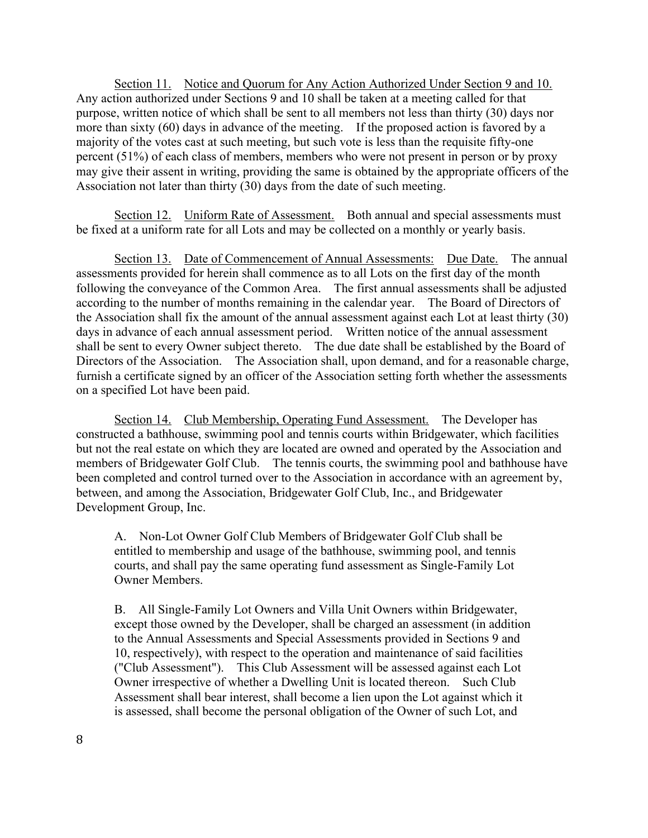Section 11. Notice and Quorum for Any Action Authorized Under Section 9 and 10. Any action authorized under Sections 9 and 10 shall be taken at a meeting called for that purpose, written notice of which shall be sent to all members not less than thirty (30) days nor more than sixty (60) days in advance of the meeting. If the proposed action is favored by a majority of the votes cast at such meeting, but such vote is less than the requisite fifty-one percent (51%) of each class of members, members who were not present in person or by proxy may give their assent in writing, providing the same is obtained by the appropriate officers of the Association not later than thirty (30) days from the date of such meeting.

Section 12. Uniform Rate of Assessment. Both annual and special assessments must be fixed at a uniform rate for all Lots and may be collected on a monthly or yearly basis.

Section 13. Date of Commencement of Annual Assessments: Due Date. The annual assessments provided for herein shall commence as to all Lots on the first day of the month following the conveyance of the Common Area. The first annual assessments shall be adjusted according to the number of months remaining in the calendar year. The Board of Directors of the Association shall fix the amount of the annual assessment against each Lot at least thirty (30) days in advance of each annual assessment period. Written notice of the annual assessment shall be sent to every Owner subject thereto. The due date shall be established by the Board of Directors of the Association. The Association shall, upon demand, and for a reasonable charge, furnish a certificate signed by an officer of the Association setting forth whether the assessments on a specified Lot have been paid.

Section 14. Club Membership, Operating Fund Assessment. The Developer has constructed a bathhouse, swimming pool and tennis courts within Bridgewater, which facilities but not the real estate on which they are located are owned and operated by the Association and members of Bridgewater Golf Club. The tennis courts, the swimming pool and bathhouse have been completed and control turned over to the Association in accordance with an agreement by, between, and among the Association, Bridgewater Golf Club, Inc., and Bridgewater Development Group, Inc.

A. Non-Lot Owner Golf Club Members of Bridgewater Golf Club shall be entitled to membership and usage of the bathhouse, swimming pool, and tennis courts, and shall pay the same operating fund assessment as Single-Family Lot Owner Members.

B. All Single-Family Lot Owners and Villa Unit Owners within Bridgewater, except those owned by the Developer, shall be charged an assessment (in addition to the Annual Assessments and Special Assessments provided in Sections 9 and 10, respectively), with respect to the operation and maintenance of said facilities ("Club Assessment"). This Club Assessment will be assessed against each Lot Owner irrespective of whether a Dwelling Unit is located thereon. Such Club Assessment shall bear interest, shall become a lien upon the Lot against which it is assessed, shall become the personal obligation of the Owner of such Lot, and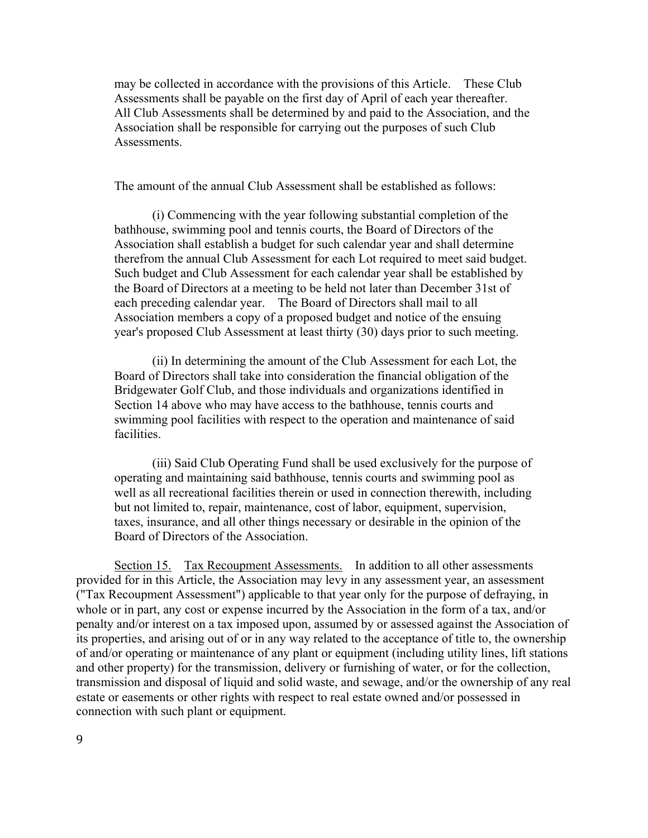may be collected in accordance with the provisions of this Article. These Club Assessments shall be payable on the first day of April of each year thereafter. All Club Assessments shall be determined by and paid to the Association, and the Association shall be responsible for carrying out the purposes of such Club **Assessments** 

The amount of the annual Club Assessment shall be established as follows:

(i) Commencing with the year following substantial completion of the bathhouse, swimming pool and tennis courts, the Board of Directors of the Association shall establish a budget for such calendar year and shall determine therefrom the annual Club Assessment for each Lot required to meet said budget. Such budget and Club Assessment for each calendar year shall be established by the Board of Directors at a meeting to be held not later than December 31st of each preceding calendar year. The Board of Directors shall mail to all Association members a copy of a proposed budget and notice of the ensuing year's proposed Club Assessment at least thirty (30) days prior to such meeting.

(ii) In determining the amount of the Club Assessment for each Lot, the Board of Directors shall take into consideration the financial obligation of the Bridgewater Golf Club, and those individuals and organizations identified in Section 14 above who may have access to the bathhouse, tennis courts and swimming pool facilities with respect to the operation and maintenance of said facilities.

(iii) Said Club Operating Fund shall be used exclusively for the purpose of operating and maintaining said bathhouse, tennis courts and swimming pool as well as all recreational facilities therein or used in connection therewith, including but not limited to, repair, maintenance, cost of labor, equipment, supervision, taxes, insurance, and all other things necessary or desirable in the opinion of the Board of Directors of the Association.

Section 15. Tax Recoupment Assessments. In addition to all other assessments provided for in this Article, the Association may levy in any assessment year, an assessment ("Tax Recoupment Assessment") applicable to that year only for the purpose of defraying, in whole or in part, any cost or expense incurred by the Association in the form of a tax, and/or penalty and/or interest on a tax imposed upon, assumed by or assessed against the Association of its properties, and arising out of or in any way related to the acceptance of title to, the ownership of and/or operating or maintenance of any plant or equipment (including utility lines, lift stations and other property) for the transmission, delivery or furnishing of water, or for the collection, transmission and disposal of liquid and solid waste, and sewage, and/or the ownership of any real estate or easements or other rights with respect to real estate owned and/or possessed in connection with such plant or equipment.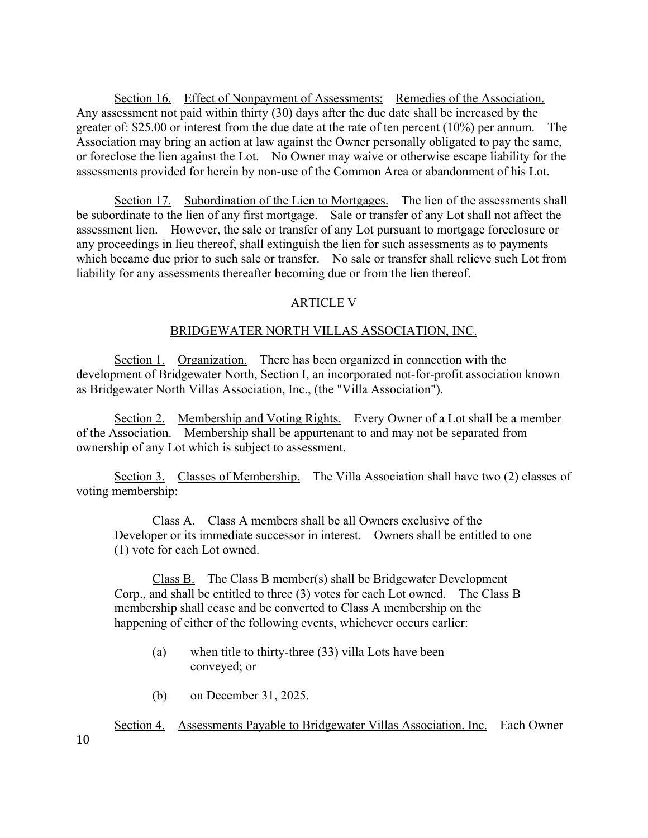Section 16. Effect of Nonpayment of Assessments: Remedies of the Association. Any assessment not paid within thirty (30) days after the due date shall be increased by the greater of: \$25.00 or interest from the due date at the rate of ten percent (10%) per annum. The Association may bring an action at law against the Owner personally obligated to pay the same, or foreclose the lien against the Lot. No Owner may waive or otherwise escape liability for the assessments provided for herein by non-use of the Common Area or abandonment of his Lot.

Section 17. Subordination of the Lien to Mortgages. The lien of the assessments shall be subordinate to the lien of any first mortgage. Sale or transfer of any Lot shall not affect the assessment lien. However, the sale or transfer of any Lot pursuant to mortgage foreclosure or any proceedings in lieu thereof, shall extinguish the lien for such assessments as to payments which became due prior to such sale or transfer. No sale or transfer shall relieve such Lot from liability for any assessments thereafter becoming due or from the lien thereof.

### ARTICLE V

#### BRIDGEWATER NORTH VILLAS ASSOCIATION, INC.

Section 1. Organization. There has been organized in connection with the development of Bridgewater North, Section I, an incorporated not-for-profit association known as Bridgewater North Villas Association, Inc., (the "Villa Association").

Section 2. Membership and Voting Rights. Every Owner of a Lot shall be a member of the Association. Membership shall be appurtenant to and may not be separated from ownership of any Lot which is subject to assessment.

Section 3. Classes of Membership. The Villa Association shall have two (2) classes of voting membership:

Class A. Class A members shall be all Owners exclusive of the Developer or its immediate successor in interest. Owners shall be entitled to one (1) vote for each Lot owned.

Class B. The Class B member(s) shall be Bridgewater Development Corp., and shall be entitled to three (3) votes for each Lot owned. The Class B membership shall cease and be converted to Class A membership on the happening of either of the following events, whichever occurs earlier:

- (a) when title to thirty-three (33) villa Lots have been conveyed; or
- (b) on December 31, 2025.

Section 4. Assessments Payable to Bridgewater Villas Association, Inc. Each Owner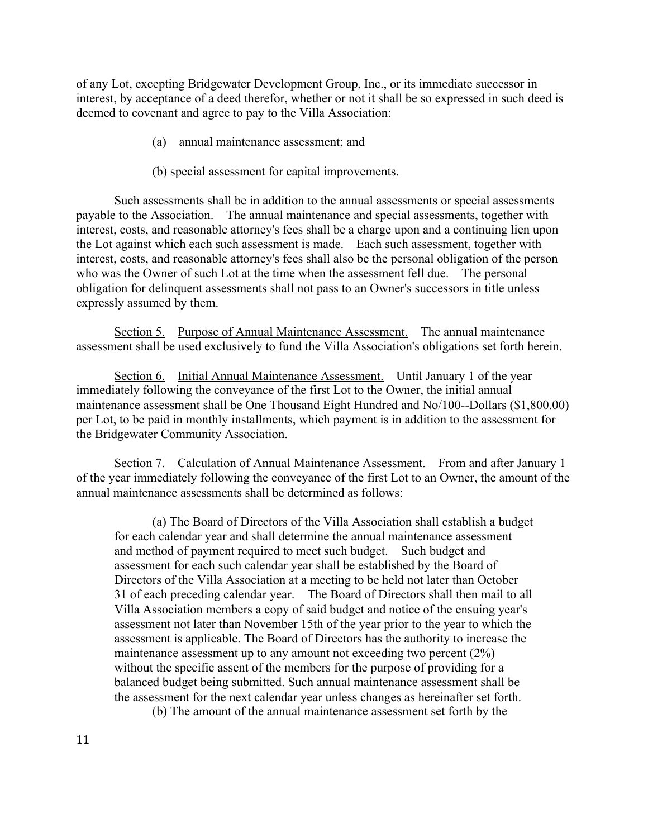of any Lot, excepting Bridgewater Development Group, Inc., or its immediate successor in interest, by acceptance of a deed therefor, whether or not it shall be so expressed in such deed is deemed to covenant and agree to pay to the Villa Association:

- (a) annual maintenance assessment; and
- (b) special assessment for capital improvements.

Such assessments shall be in addition to the annual assessments or special assessments payable to the Association. The annual maintenance and special assessments, together with interest, costs, and reasonable attorney's fees shall be a charge upon and a continuing lien upon the Lot against which each such assessment is made. Each such assessment, together with interest, costs, and reasonable attorney's fees shall also be the personal obligation of the person who was the Owner of such Lot at the time when the assessment fell due. The personal obligation for delinquent assessments shall not pass to an Owner's successors in title unless expressly assumed by them.

Section 5. Purpose of Annual Maintenance Assessment. The annual maintenance assessment shall be used exclusively to fund the Villa Association's obligations set forth herein.

Section 6. Initial Annual Maintenance Assessment. Until January 1 of the year immediately following the conveyance of the first Lot to the Owner, the initial annual maintenance assessment shall be One Thousand Eight Hundred and No/100--Dollars (\$1,800.00) per Lot, to be paid in monthly installments, which payment is in addition to the assessment for the Bridgewater Community Association.

Section 7. Calculation of Annual Maintenance Assessment. From and after January 1 of the year immediately following the conveyance of the first Lot to an Owner, the amount of the annual maintenance assessments shall be determined as follows:

(a) The Board of Directors of the Villa Association shall establish a budget for each calendar year and shall determine the annual maintenance assessment and method of payment required to meet such budget. Such budget and assessment for each such calendar year shall be established by the Board of Directors of the Villa Association at a meeting to be held not later than October 31 of each preceding calendar year. The Board of Directors shall then mail to all Villa Association members a copy of said budget and notice of the ensuing year's assessment not later than November 15th of the year prior to the year to which the assessment is applicable. The Board of Directors has the authority to increase the maintenance assessment up to any amount not exceeding two percent (2%) without the specific assent of the members for the purpose of providing for a balanced budget being submitted. Such annual maintenance assessment shall be the assessment for the next calendar year unless changes as hereinafter set forth.

(b) The amount of the annual maintenance assessment set forth by the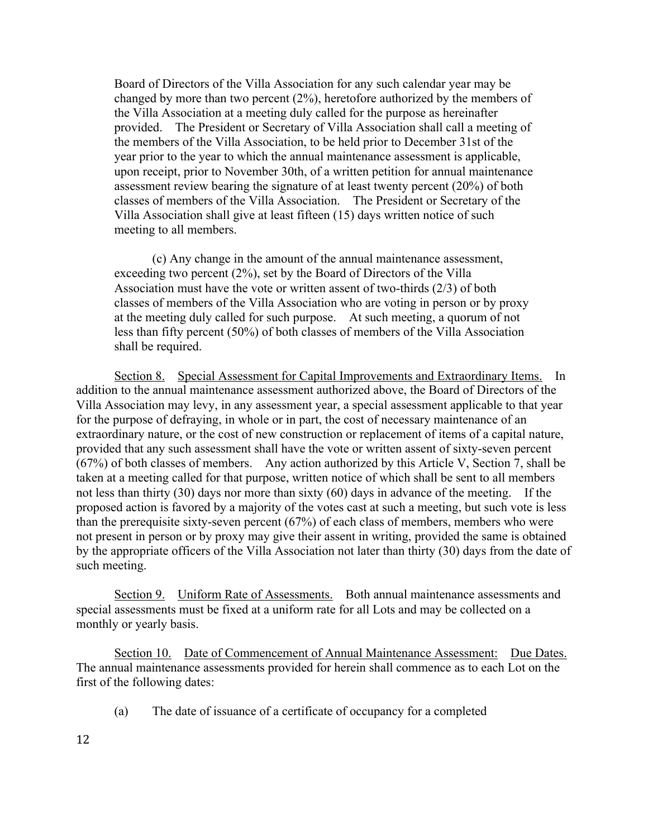Board of Directors of the Villa Association for any such calendar year may be changed by more than two percent (2%), heretofore authorized by the members of the Villa Association at a meeting duly called for the purpose as hereinafter provided. The President or Secretary of Villa Association shall call a meeting of the members of the Villa Association, to be held prior to December 31st of the year prior to the year to which the annual maintenance assessment is applicable, upon receipt, prior to November 30th, of a written petition for annual maintenance assessment review bearing the signature of at least twenty percent (20%) of both classes of members of the Villa Association. The President or Secretary of the Villa Association shall give at least fifteen (15) days written notice of such meeting to all members.

(c) Any change in the amount of the annual maintenance assessment, exceeding two percent (2%), set by the Board of Directors of the Villa Association must have the vote or written assent of two-thirds (2/3) of both classes of members of the Villa Association who are voting in person or by proxy at the meeting duly called for such purpose. At such meeting, a quorum of not less than fifty percent (50%) of both classes of members of the Villa Association shall be required.

Section 8. Special Assessment for Capital Improvements and Extraordinary Items. In addition to the annual maintenance assessment authorized above, the Board of Directors of the Villa Association may levy, in any assessment year, a special assessment applicable to that year for the purpose of defraying, in whole or in part, the cost of necessary maintenance of an extraordinary nature, or the cost of new construction or replacement of items of a capital nature, provided that any such assessment shall have the vote or written assent of sixty-seven percent (67%) of both classes of members. Any action authorized by this Article V, Section 7, shall be taken at a meeting called for that purpose, written notice of which shall be sent to all members not less than thirty (30) days nor more than sixty (60) days in advance of the meeting. If the proposed action is favored by a majority of the votes cast at such a meeting, but such vote is less than the prerequisite sixty-seven percent (67%) of each class of members, members who were not present in person or by proxy may give their assent in writing, provided the same is obtained by the appropriate officers of the Villa Association not later than thirty (30) days from the date of such meeting.

Section 9. Uniform Rate of Assessments. Both annual maintenance assessments and special assessments must be fixed at a uniform rate for all Lots and may be collected on a monthly or yearly basis.

Section 10. Date of Commencement of Annual Maintenance Assessment: Due Dates. The annual maintenance assessments provided for herein shall commence as to each Lot on the first of the following dates:

(a) The date of issuance of a certificate of occupancy for a completed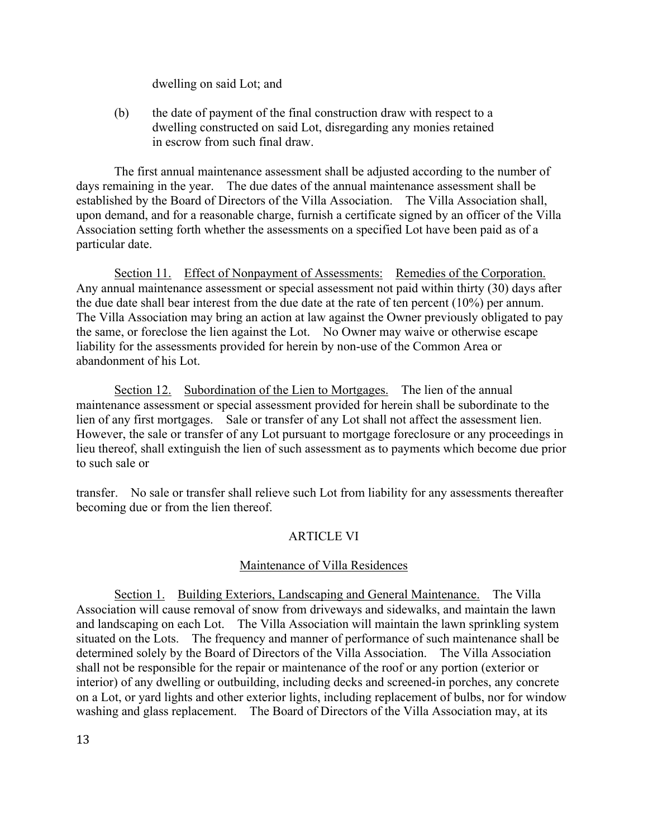dwelling on said Lot; and

(b) the date of payment of the final construction draw with respect to a dwelling constructed on said Lot, disregarding any monies retained in escrow from such final draw.

The first annual maintenance assessment shall be adjusted according to the number of days remaining in the year. The due dates of the annual maintenance assessment shall be established by the Board of Directors of the Villa Association. The Villa Association shall, upon demand, and for a reasonable charge, furnish a certificate signed by an officer of the Villa Association setting forth whether the assessments on a specified Lot have been paid as of a particular date.

Section 11. Effect of Nonpayment of Assessments: Remedies of the Corporation. Any annual maintenance assessment or special assessment not paid within thirty (30) days after the due date shall bear interest from the due date at the rate of ten percent (10%) per annum. The Villa Association may bring an action at law against the Owner previously obligated to pay the same, or foreclose the lien against the Lot. No Owner may waive or otherwise escape liability for the assessments provided for herein by non-use of the Common Area or abandonment of his Lot.

Section 12. Subordination of the Lien to Mortgages. The lien of the annual maintenance assessment or special assessment provided for herein shall be subordinate to the lien of any first mortgages. Sale or transfer of any Lot shall not affect the assessment lien. However, the sale or transfer of any Lot pursuant to mortgage foreclosure or any proceedings in lieu thereof, shall extinguish the lien of such assessment as to payments which become due prior to such sale or

transfer. No sale or transfer shall relieve such Lot from liability for any assessments thereafter becoming due or from the lien thereof.

## ARTICLE VI

## Maintenance of Villa Residences

Section 1. Building Exteriors, Landscaping and General Maintenance. The Villa Association will cause removal of snow from driveways and sidewalks, and maintain the lawn and landscaping on each Lot. The Villa Association will maintain the lawn sprinkling system situated on the Lots. The frequency and manner of performance of such maintenance shall be determined solely by the Board of Directors of the Villa Association. The Villa Association shall not be responsible for the repair or maintenance of the roof or any portion (exterior or interior) of any dwelling or outbuilding, including decks and screened-in porches, any concrete on a Lot, or yard lights and other exterior lights, including replacement of bulbs, nor for window washing and glass replacement. The Board of Directors of the Villa Association may, at its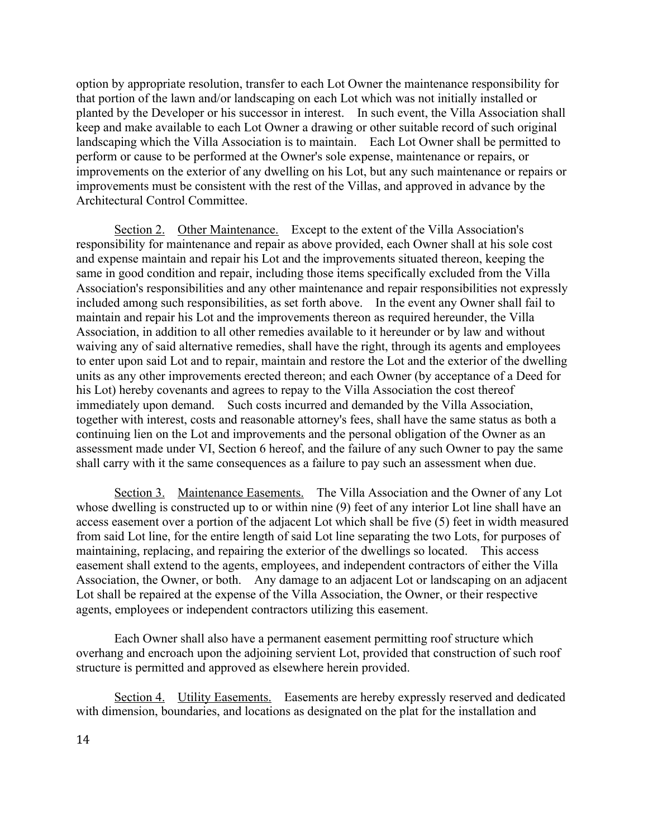option by appropriate resolution, transfer to each Lot Owner the maintenance responsibility for that portion of the lawn and/or landscaping on each Lot which was not initially installed or planted by the Developer or his successor in interest. In such event, the Villa Association shall keep and make available to each Lot Owner a drawing or other suitable record of such original landscaping which the Villa Association is to maintain. Each Lot Owner shall be permitted to perform or cause to be performed at the Owner's sole expense, maintenance or repairs, or improvements on the exterior of any dwelling on his Lot, but any such maintenance or repairs or improvements must be consistent with the rest of the Villas, and approved in advance by the Architectural Control Committee.

Section 2. Other Maintenance. Except to the extent of the Villa Association's responsibility for maintenance and repair as above provided, each Owner shall at his sole cost and expense maintain and repair his Lot and the improvements situated thereon, keeping the same in good condition and repair, including those items specifically excluded from the Villa Association's responsibilities and any other maintenance and repair responsibilities not expressly included among such responsibilities, as set forth above. In the event any Owner shall fail to maintain and repair his Lot and the improvements thereon as required hereunder, the Villa Association, in addition to all other remedies available to it hereunder or by law and without waiving any of said alternative remedies, shall have the right, through its agents and employees to enter upon said Lot and to repair, maintain and restore the Lot and the exterior of the dwelling units as any other improvements erected thereon; and each Owner (by acceptance of a Deed for his Lot) hereby covenants and agrees to repay to the Villa Association the cost thereof immediately upon demand. Such costs incurred and demanded by the Villa Association, together with interest, costs and reasonable attorney's fees, shall have the same status as both a continuing lien on the Lot and improvements and the personal obligation of the Owner as an assessment made under VI, Section 6 hereof, and the failure of any such Owner to pay the same shall carry with it the same consequences as a failure to pay such an assessment when due.

Section 3. Maintenance Easements. The Villa Association and the Owner of any Lot whose dwelling is constructed up to or within nine (9) feet of any interior Lot line shall have an access easement over a portion of the adjacent Lot which shall be five (5) feet in width measured from said Lot line, for the entire length of said Lot line separating the two Lots, for purposes of maintaining, replacing, and repairing the exterior of the dwellings so located. This access easement shall extend to the agents, employees, and independent contractors of either the Villa Association, the Owner, or both. Any damage to an adjacent Lot or landscaping on an adjacent Lot shall be repaired at the expense of the Villa Association, the Owner, or their respective agents, employees or independent contractors utilizing this easement.

Each Owner shall also have a permanent easement permitting roof structure which overhang and encroach upon the adjoining servient Lot, provided that construction of such roof structure is permitted and approved as elsewhere herein provided.

Section 4. Utility Easements. Easements are hereby expressly reserved and dedicated with dimension, boundaries, and locations as designated on the plat for the installation and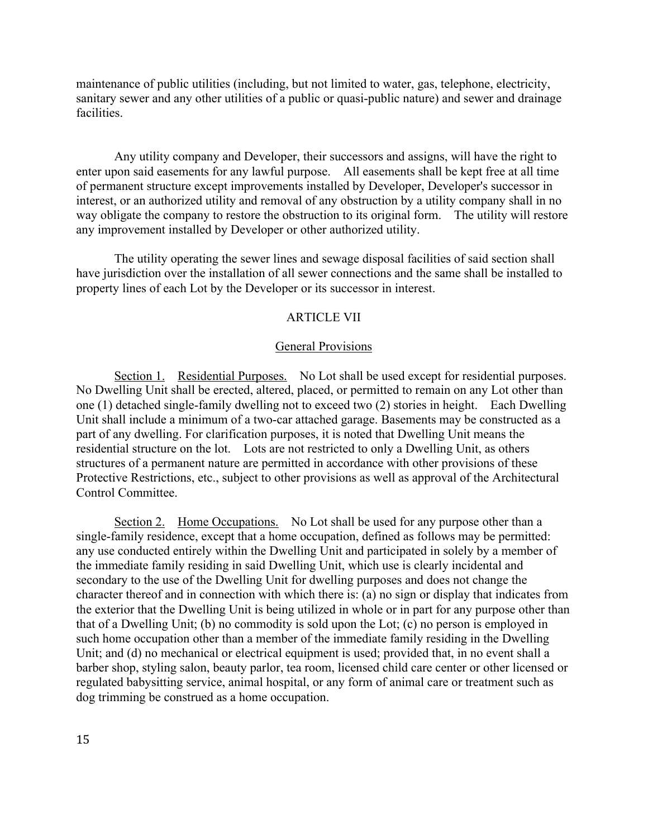maintenance of public utilities (including, but not limited to water, gas, telephone, electricity, sanitary sewer and any other utilities of a public or quasi-public nature) and sewer and drainage facilities.

Any utility company and Developer, their successors and assigns, will have the right to enter upon said easements for any lawful purpose. All easements shall be kept free at all time of permanent structure except improvements installed by Developer, Developer's successor in interest, or an authorized utility and removal of any obstruction by a utility company shall in no way obligate the company to restore the obstruction to its original form. The utility will restore any improvement installed by Developer or other authorized utility.

The utility operating the sewer lines and sewage disposal facilities of said section shall have jurisdiction over the installation of all sewer connections and the same shall be installed to property lines of each Lot by the Developer or its successor in interest.

### ARTICLE VII

#### General Provisions

Section 1. Residential Purposes. No Lot shall be used except for residential purposes. No Dwelling Unit shall be erected, altered, placed, or permitted to remain on any Lot other than one (1) detached single-family dwelling not to exceed two (2) stories in height. Each Dwelling Unit shall include a minimum of a two-car attached garage. Basements may be constructed as a part of any dwelling. For clarification purposes, it is noted that Dwelling Unit means the residential structure on the lot. Lots are not restricted to only a Dwelling Unit, as others structures of a permanent nature are permitted in accordance with other provisions of these Protective Restrictions, etc., subject to other provisions as well as approval of the Architectural Control Committee.

Section 2. Home Occupations. No Lot shall be used for any purpose other than a single-family residence, except that a home occupation, defined as follows may be permitted: any use conducted entirely within the Dwelling Unit and participated in solely by a member of the immediate family residing in said Dwelling Unit, which use is clearly incidental and secondary to the use of the Dwelling Unit for dwelling purposes and does not change the character thereof and in connection with which there is: (a) no sign or display that indicates from the exterior that the Dwelling Unit is being utilized in whole or in part for any purpose other than that of a Dwelling Unit; (b) no commodity is sold upon the Lot; (c) no person is employed in such home occupation other than a member of the immediate family residing in the Dwelling Unit; and (d) no mechanical or electrical equipment is used; provided that, in no event shall a barber shop, styling salon, beauty parlor, tea room, licensed child care center or other licensed or regulated babysitting service, animal hospital, or any form of animal care or treatment such as dog trimming be construed as a home occupation.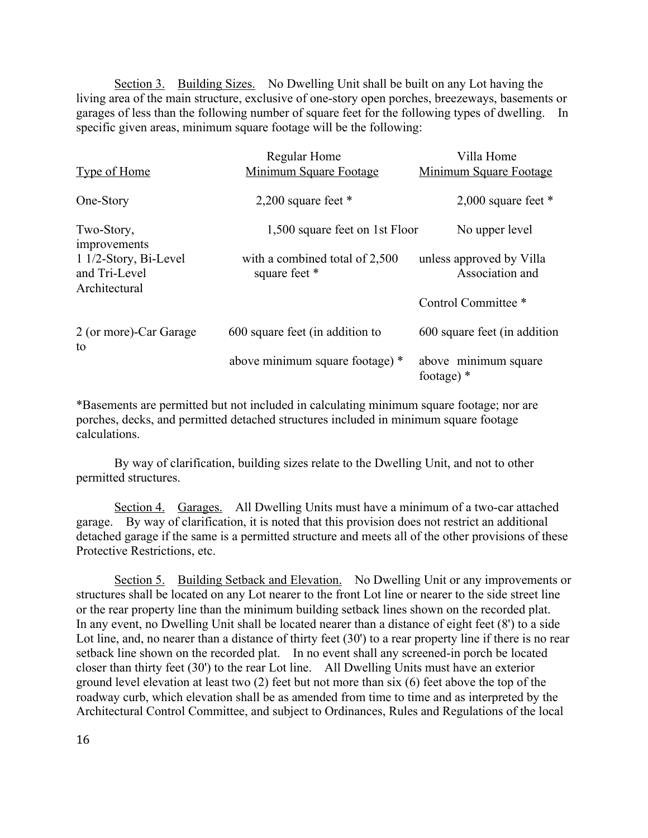Section 3. Building Sizes. No Dwelling Unit shall be built on any Lot having the living area of the main structure, exclusive of one-story open porches, breezeways, basements or garages of less than the following number of square feet for the following types of dwelling. In specific given areas, minimum square footage will be the following:

|                                                           | Regular Home                                    | Villa Home                                  |
|-----------------------------------------------------------|-------------------------------------------------|---------------------------------------------|
| <b>Type of Home</b>                                       | Minimum Square Footage                          | Minimum Square Footage                      |
| One-Story                                                 | 2,200 square feet $*$                           | 2,000 square feet $*$                       |
| Two-Story,<br>improvements                                | 1,500 square feet on 1st Floor                  | No upper level                              |
| $11/2$ -Story, Bi-Level<br>and Tri-Level<br>Architectural | with a combined total of 2,500<br>square feet * | unless approved by Villa<br>Association and |
|                                                           |                                                 | Control Committee *                         |
| 2 (or more)-Car Garage<br>to                              | 600 square feet (in addition to                 | 600 square feet (in addition)               |
|                                                           | above minimum square footage) *                 | above minimum square<br>footage) $*$        |

\*Basements are permitted but not included in calculating minimum square footage; nor are porches, decks, and permitted detached structures included in minimum square footage calculations.

By way of clarification, building sizes relate to the Dwelling Unit, and not to other permitted structures.

Section 4. Garages. All Dwelling Units must have a minimum of a two-car attached garage. By way of clarification, it is noted that this provision does not restrict an additional detached garage if the same is a permitted structure and meets all of the other provisions of these Protective Restrictions, etc.

Section 5. Building Setback and Elevation. No Dwelling Unit or any improvements or structures shall be located on any Lot nearer to the front Lot line or nearer to the side street line or the rear property line than the minimum building setback lines shown on the recorded plat. In any event, no Dwelling Unit shall be located nearer than a distance of eight feet (8') to a side Lot line, and, no nearer than a distance of thirty feet (30') to a rear property line if there is no rear setback line shown on the recorded plat. In no event shall any screened-in porch be located closer than thirty feet (30') to the rear Lot line. All Dwelling Units must have an exterior ground level elevation at least two (2) feet but not more than six (6) feet above the top of the roadway curb, which elevation shall be as amended from time to time and as interpreted by the Architectural Control Committee, and subject to Ordinances, Rules and Regulations of the local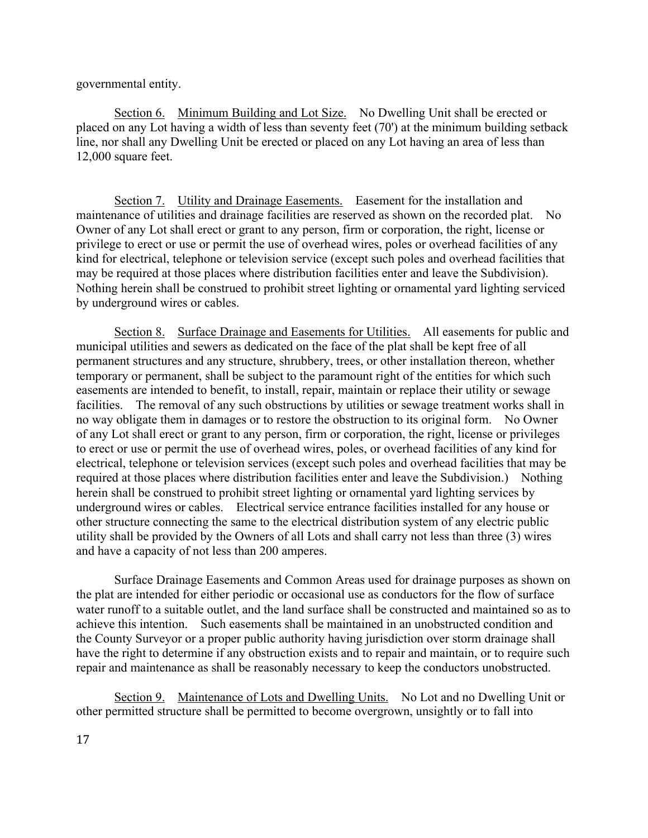governmental entity.

Section 6. Minimum Building and Lot Size. No Dwelling Unit shall be erected or placed on any Lot having a width of less than seventy feet (70') at the minimum building setback line, nor shall any Dwelling Unit be erected or placed on any Lot having an area of less than 12,000 square feet.

Section 7. Utility and Drainage Easements. Easement for the installation and maintenance of utilities and drainage facilities are reserved as shown on the recorded plat. No Owner of any Lot shall erect or grant to any person, firm or corporation, the right, license or privilege to erect or use or permit the use of overhead wires, poles or overhead facilities of any kind for electrical, telephone or television service (except such poles and overhead facilities that may be required at those places where distribution facilities enter and leave the Subdivision). Nothing herein shall be construed to prohibit street lighting or ornamental yard lighting serviced by underground wires or cables.

Section 8. Surface Drainage and Easements for Utilities. All easements for public and municipal utilities and sewers as dedicated on the face of the plat shall be kept free of all permanent structures and any structure, shrubbery, trees, or other installation thereon, whether temporary or permanent, shall be subject to the paramount right of the entities for which such easements are intended to benefit, to install, repair, maintain or replace their utility or sewage facilities. The removal of any such obstructions by utilities or sewage treatment works shall in no way obligate them in damages or to restore the obstruction to its original form. No Owner of any Lot shall erect or grant to any person, firm or corporation, the right, license or privileges to erect or use or permit the use of overhead wires, poles, or overhead facilities of any kind for electrical, telephone or television services (except such poles and overhead facilities that may be required at those places where distribution facilities enter and leave the Subdivision.) Nothing herein shall be construed to prohibit street lighting or ornamental yard lighting services by underground wires or cables. Electrical service entrance facilities installed for any house or other structure connecting the same to the electrical distribution system of any electric public utility shall be provided by the Owners of all Lots and shall carry not less than three (3) wires and have a capacity of not less than 200 amperes.

Surface Drainage Easements and Common Areas used for drainage purposes as shown on the plat are intended for either periodic or occasional use as conductors for the flow of surface water runoff to a suitable outlet, and the land surface shall be constructed and maintained so as to achieve this intention. Such easements shall be maintained in an unobstructed condition and the County Surveyor or a proper public authority having jurisdiction over storm drainage shall have the right to determine if any obstruction exists and to repair and maintain, or to require such repair and maintenance as shall be reasonably necessary to keep the conductors unobstructed.

Section 9. Maintenance of Lots and Dwelling Units. No Lot and no Dwelling Unit or other permitted structure shall be permitted to become overgrown, unsightly or to fall into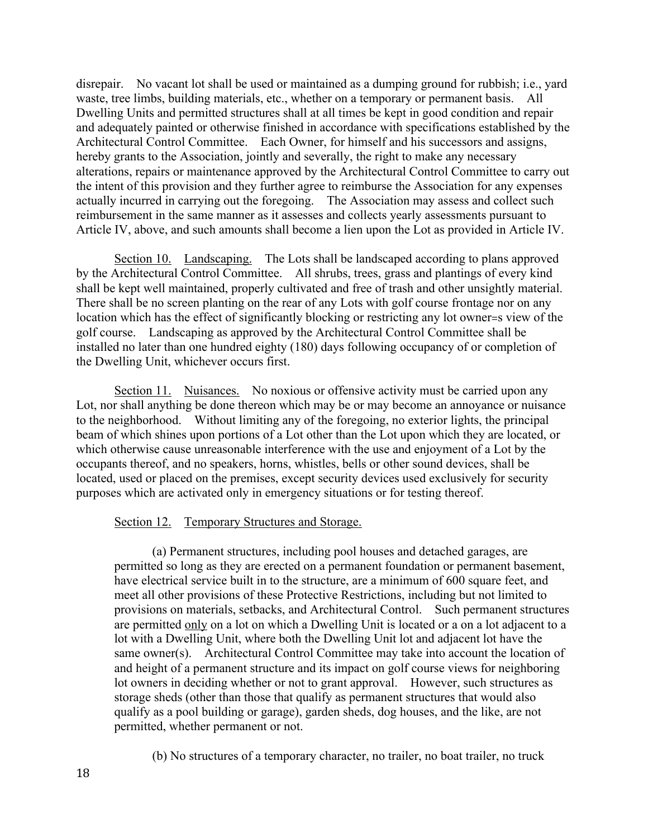disrepair. No vacant lot shall be used or maintained as a dumping ground for rubbish; i.e., yard waste, tree limbs, building materials, etc., whether on a temporary or permanent basis. All Dwelling Units and permitted structures shall at all times be kept in good condition and repair and adequately painted or otherwise finished in accordance with specifications established by the Architectural Control Committee. Each Owner, for himself and his successors and assigns, hereby grants to the Association, jointly and severally, the right to make any necessary alterations, repairs or maintenance approved by the Architectural Control Committee to carry out the intent of this provision and they further agree to reimburse the Association for any expenses actually incurred in carrying out the foregoing. The Association may assess and collect such reimbursement in the same manner as it assesses and collects yearly assessments pursuant to Article IV, above, and such amounts shall become a lien upon the Lot as provided in Article IV.

Section 10. Landscaping. The Lots shall be landscaped according to plans approved by the Architectural Control Committee. All shrubs, trees, grass and plantings of every kind shall be kept well maintained, properly cultivated and free of trash and other unsightly material. There shall be no screen planting on the rear of any Lots with golf course frontage nor on any location which has the effect of significantly blocking or restricting any lot owner=s view of the golf course. Landscaping as approved by the Architectural Control Committee shall be installed no later than one hundred eighty (180) days following occupancy of or completion of the Dwelling Unit, whichever occurs first.

Section 11. Nuisances. No noxious or offensive activity must be carried upon any Lot, nor shall anything be done thereon which may be or may become an annoyance or nuisance to the neighborhood. Without limiting any of the foregoing, no exterior lights, the principal beam of which shines upon portions of a Lot other than the Lot upon which they are located, or which otherwise cause unreasonable interference with the use and enjoyment of a Lot by the occupants thereof, and no speakers, horns, whistles, bells or other sound devices, shall be located, used or placed on the premises, except security devices used exclusively for security purposes which are activated only in emergency situations or for testing thereof.

#### Section 12. Temporary Structures and Storage.

(a) Permanent structures, including pool houses and detached garages, are permitted so long as they are erected on a permanent foundation or permanent basement, have electrical service built in to the structure, are a minimum of 600 square feet, and meet all other provisions of these Protective Restrictions, including but not limited to provisions on materials, setbacks, and Architectural Control. Such permanent structures are permitted only on a lot on which a Dwelling Unit is located or a on a lot adjacent to a lot with a Dwelling Unit, where both the Dwelling Unit lot and adjacent lot have the same owner(s). Architectural Control Committee may take into account the location of and height of a permanent structure and its impact on golf course views for neighboring lot owners in deciding whether or not to grant approval. However, such structures as storage sheds (other than those that qualify as permanent structures that would also qualify as a pool building or garage), garden sheds, dog houses, and the like, are not permitted, whether permanent or not.

(b) No structures of a temporary character, no trailer, no boat trailer, no truck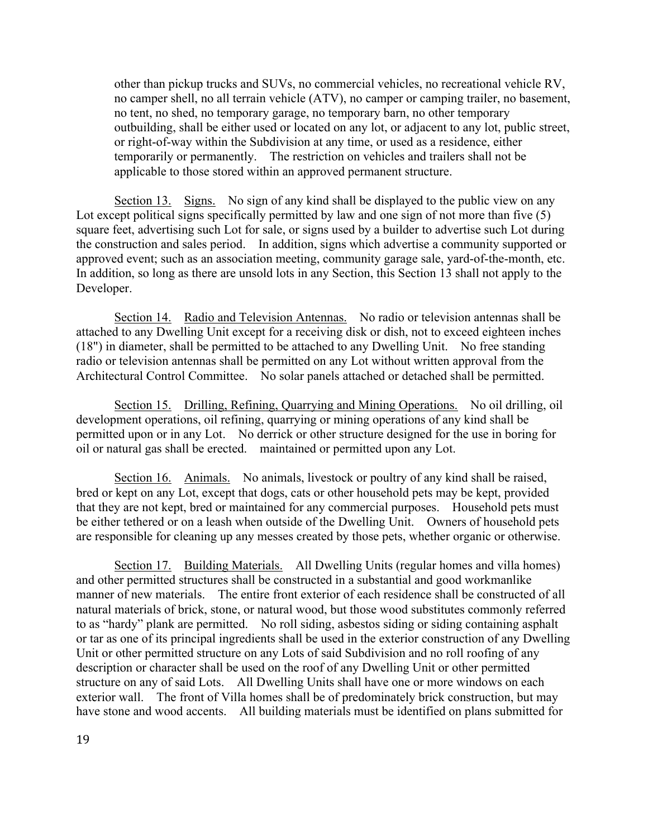other than pickup trucks and SUVs, no commercial vehicles, no recreational vehicle RV, no camper shell, no all terrain vehicle (ATV), no camper or camping trailer, no basement, no tent, no shed, no temporary garage, no temporary barn, no other temporary outbuilding, shall be either used or located on any lot, or adjacent to any lot, public street, or right-of-way within the Subdivision at any time, or used as a residence, either temporarily or permanently. The restriction on vehicles and trailers shall not be applicable to those stored within an approved permanent structure.

Section 13. Signs. No sign of any kind shall be displayed to the public view on any Lot except political signs specifically permitted by law and one sign of not more than five (5) square feet, advertising such Lot for sale, or signs used by a builder to advertise such Lot during the construction and sales period. In addition, signs which advertise a community supported or approved event; such as an association meeting, community garage sale, yard-of-the-month, etc. In addition, so long as there are unsold lots in any Section, this Section 13 shall not apply to the Developer.

Section 14. Radio and Television Antennas. No radio or television antennas shall be attached to any Dwelling Unit except for a receiving disk or dish, not to exceed eighteen inches (18") in diameter, shall be permitted to be attached to any Dwelling Unit. No free standing radio or television antennas shall be permitted on any Lot without written approval from the Architectural Control Committee. No solar panels attached or detached shall be permitted.

Section 15. Drilling, Refining, Quarrying and Mining Operations. No oil drilling, oil development operations, oil refining, quarrying or mining operations of any kind shall be permitted upon or in any Lot. No derrick or other structure designed for the use in boring for oil or natural gas shall be erected. maintained or permitted upon any Lot.

Section 16. Animals. No animals, livestock or poultry of any kind shall be raised, bred or kept on any Lot, except that dogs, cats or other household pets may be kept, provided that they are not kept, bred or maintained for any commercial purposes. Household pets must be either tethered or on a leash when outside of the Dwelling Unit. Owners of household pets are responsible for cleaning up any messes created by those pets, whether organic or otherwise.

Section 17. Building Materials. All Dwelling Units (regular homes and villa homes) and other permitted structures shall be constructed in a substantial and good workmanlike manner of new materials. The entire front exterior of each residence shall be constructed of all natural materials of brick, stone, or natural wood, but those wood substitutes commonly referred to as "hardy" plank are permitted. No roll siding, asbestos siding or siding containing asphalt or tar as one of its principal ingredients shall be used in the exterior construction of any Dwelling Unit or other permitted structure on any Lots of said Subdivision and no roll roofing of any description or character shall be used on the roof of any Dwelling Unit or other permitted structure on any of said Lots. All Dwelling Units shall have one or more windows on each exterior wall. The front of Villa homes shall be of predominately brick construction, but may have stone and wood accents. All building materials must be identified on plans submitted for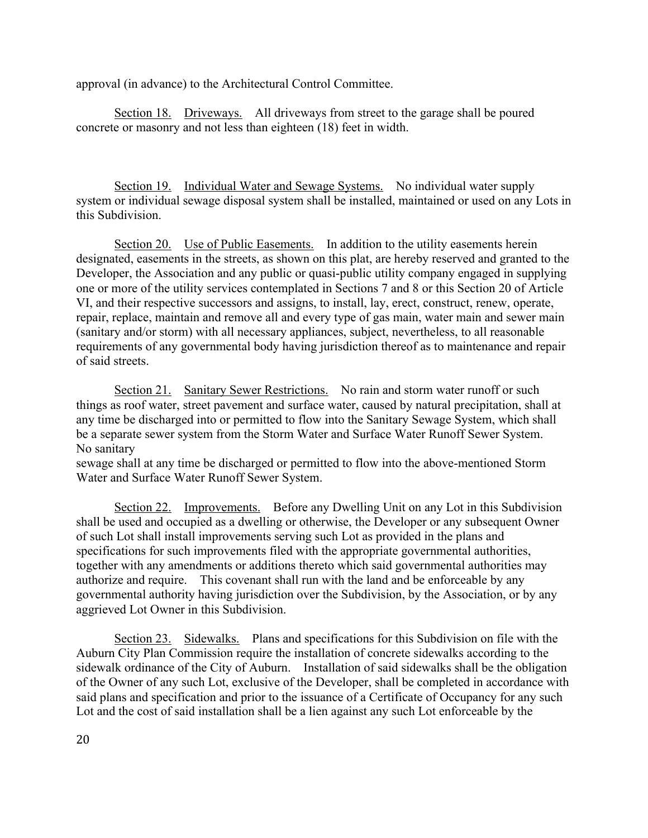approval (in advance) to the Architectural Control Committee.

Section 18. Driveways. All driveways from street to the garage shall be poured concrete or masonry and not less than eighteen (18) feet in width.

Section 19. Individual Water and Sewage Systems. No individual water supply system or individual sewage disposal system shall be installed, maintained or used on any Lots in this Subdivision.

Section 20. Use of Public Easements. In addition to the utility easements herein designated, easements in the streets, as shown on this plat, are hereby reserved and granted to the Developer, the Association and any public or quasi-public utility company engaged in supplying one or more of the utility services contemplated in Sections 7 and 8 or this Section 20 of Article VI, and their respective successors and assigns, to install, lay, erect, construct, renew, operate, repair, replace, maintain and remove all and every type of gas main, water main and sewer main (sanitary and/or storm) with all necessary appliances, subject, nevertheless, to all reasonable requirements of any governmental body having jurisdiction thereof as to maintenance and repair of said streets.

Section 21. Sanitary Sewer Restrictions. No rain and storm water runoff or such things as roof water, street pavement and surface water, caused by natural precipitation, shall at any time be discharged into or permitted to flow into the Sanitary Sewage System, which shall be a separate sewer system from the Storm Water and Surface Water Runoff Sewer System. No sanitary

sewage shall at any time be discharged or permitted to flow into the above-mentioned Storm Water and Surface Water Runoff Sewer System.

Section 22. Improvements. Before any Dwelling Unit on any Lot in this Subdivision shall be used and occupied as a dwelling or otherwise, the Developer or any subsequent Owner of such Lot shall install improvements serving such Lot as provided in the plans and specifications for such improvements filed with the appropriate governmental authorities, together with any amendments or additions thereto which said governmental authorities may authorize and require. This covenant shall run with the land and be enforceable by any governmental authority having jurisdiction over the Subdivision, by the Association, or by any aggrieved Lot Owner in this Subdivision.

Section 23. Sidewalks. Plans and specifications for this Subdivision on file with the Auburn City Plan Commission require the installation of concrete sidewalks according to the sidewalk ordinance of the City of Auburn. Installation of said sidewalks shall be the obligation of the Owner of any such Lot, exclusive of the Developer, shall be completed in accordance with said plans and specification and prior to the issuance of a Certificate of Occupancy for any such Lot and the cost of said installation shall be a lien against any such Lot enforceable by the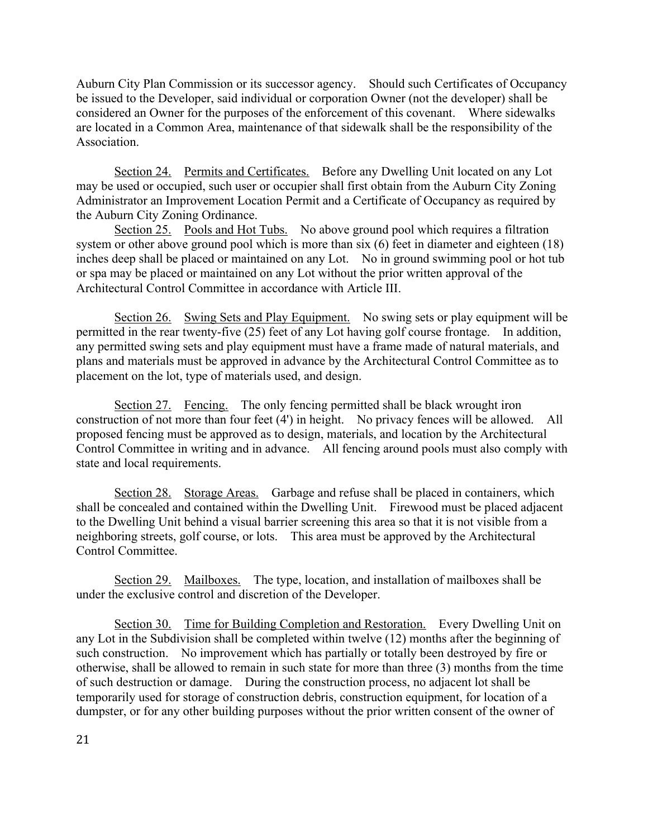Auburn City Plan Commission or its successor agency. Should such Certificates of Occupancy be issued to the Developer, said individual or corporation Owner (not the developer) shall be considered an Owner for the purposes of the enforcement of this covenant. Where sidewalks are located in a Common Area, maintenance of that sidewalk shall be the responsibility of the **Association** 

Section 24. Permits and Certificates. Before any Dwelling Unit located on any Lot may be used or occupied, such user or occupier shall first obtain from the Auburn City Zoning Administrator an Improvement Location Permit and a Certificate of Occupancy as required by the Auburn City Zoning Ordinance.

Section 25. Pools and Hot Tubs. No above ground pool which requires a filtration system or other above ground pool which is more than six (6) feet in diameter and eighteen (18) inches deep shall be placed or maintained on any Lot. No in ground swimming pool or hot tub or spa may be placed or maintained on any Lot without the prior written approval of the Architectural Control Committee in accordance with Article III.

Section 26. Swing Sets and Play Equipment. No swing sets or play equipment will be permitted in the rear twenty-five (25) feet of any Lot having golf course frontage. In addition, any permitted swing sets and play equipment must have a frame made of natural materials, and plans and materials must be approved in advance by the Architectural Control Committee as to placement on the lot, type of materials used, and design.

Section 27. Fencing. The only fencing permitted shall be black wrought iron construction of not more than four feet (4') in height. No privacy fences will be allowed. All proposed fencing must be approved as to design, materials, and location by the Architectural Control Committee in writing and in advance. All fencing around pools must also comply with state and local requirements.

Section 28. Storage Areas. Garbage and refuse shall be placed in containers, which shall be concealed and contained within the Dwelling Unit. Firewood must be placed adjacent to the Dwelling Unit behind a visual barrier screening this area so that it is not visible from a neighboring streets, golf course, or lots. This area must be approved by the Architectural Control Committee.

Section 29. Mailboxes. The type, location, and installation of mailboxes shall be under the exclusive control and discretion of the Developer.

Section 30. Time for Building Completion and Restoration. Every Dwelling Unit on any Lot in the Subdivision shall be completed within twelve (12) months after the beginning of such construction. No improvement which has partially or totally been destroyed by fire or otherwise, shall be allowed to remain in such state for more than three (3) months from the time of such destruction or damage. During the construction process, no adjacent lot shall be temporarily used for storage of construction debris, construction equipment, for location of a dumpster, or for any other building purposes without the prior written consent of the owner of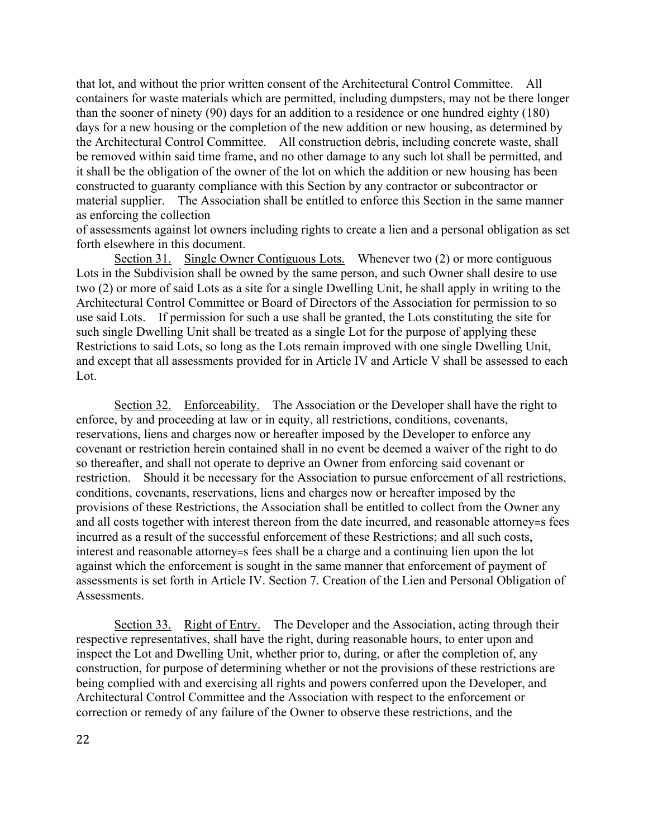that lot, and without the prior written consent of the Architectural Control Committee. All containers for waste materials which are permitted, including dumpsters, may not be there longer than the sooner of ninety (90) days for an addition to a residence or one hundred eighty (180) days for a new housing or the completion of the new addition or new housing, as determined by the Architectural Control Committee. All construction debris, including concrete waste, shall be removed within said time frame, and no other damage to any such lot shall be permitted, and it shall be the obligation of the owner of the lot on which the addition or new housing has been constructed to guaranty compliance with this Section by any contractor or subcontractor or material supplier. The Association shall be entitled to enforce this Section in the same manner as enforcing the collection

of assessments against lot owners including rights to create a lien and a personal obligation as set forth elsewhere in this document.

Section 31. Single Owner Contiguous Lots. Whenever two (2) or more contiguous Lots in the Subdivision shall be owned by the same person, and such Owner shall desire to use two (2) or more of said Lots as a site for a single Dwelling Unit, he shall apply in writing to the Architectural Control Committee or Board of Directors of the Association for permission to so use said Lots. If permission for such a use shall be granted, the Lots constituting the site for such single Dwelling Unit shall be treated as a single Lot for the purpose of applying these Restrictions to said Lots, so long as the Lots remain improved with one single Dwelling Unit, and except that all assessments provided for in Article IV and Article V shall be assessed to each Lot.

Section 32. Enforceability. The Association or the Developer shall have the right to enforce, by and proceeding at law or in equity, all restrictions, conditions, covenants, reservations, liens and charges now or hereafter imposed by the Developer to enforce any covenant or restriction herein contained shall in no event be deemed a waiver of the right to do so thereafter, and shall not operate to deprive an Owner from enforcing said covenant or restriction. Should it be necessary for the Association to pursue enforcement of all restrictions, conditions, covenants, reservations, liens and charges now or hereafter imposed by the provisions of these Restrictions, the Association shall be entitled to collect from the Owner any and all costs together with interest thereon from the date incurred, and reasonable attorney=s fees incurred as a result of the successful enforcement of these Restrictions; and all such costs, interest and reasonable attorney=s fees shall be a charge and a continuing lien upon the lot against which the enforcement is sought in the same manner that enforcement of payment of assessments is set forth in Article IV. Section 7. Creation of the Lien and Personal Obligation of Assessments.

Section 33. Right of Entry. The Developer and the Association, acting through their respective representatives, shall have the right, during reasonable hours, to enter upon and inspect the Lot and Dwelling Unit, whether prior to, during, or after the completion of, any construction, for purpose of determining whether or not the provisions of these restrictions are being complied with and exercising all rights and powers conferred upon the Developer, and Architectural Control Committee and the Association with respect to the enforcement or correction or remedy of any failure of the Owner to observe these restrictions, and the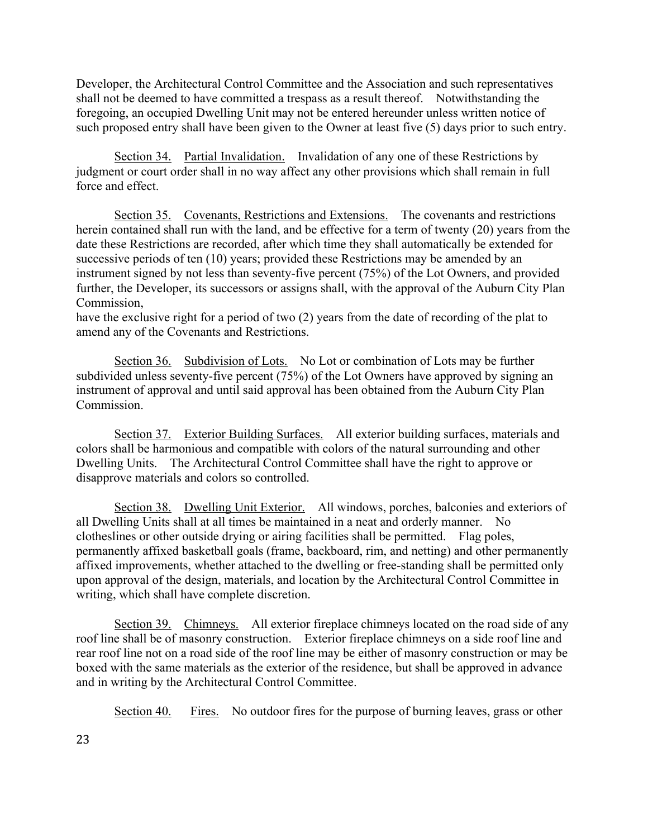Developer, the Architectural Control Committee and the Association and such representatives shall not be deemed to have committed a trespass as a result thereof. Notwithstanding the foregoing, an occupied Dwelling Unit may not be entered hereunder unless written notice of such proposed entry shall have been given to the Owner at least five (5) days prior to such entry.

Section 34. Partial Invalidation. Invalidation of any one of these Restrictions by judgment or court order shall in no way affect any other provisions which shall remain in full force and effect.

Section 35. Covenants, Restrictions and Extensions. The covenants and restrictions herein contained shall run with the land, and be effective for a term of twenty (20) years from the date these Restrictions are recorded, after which time they shall automatically be extended for successive periods of ten (10) years; provided these Restrictions may be amended by an instrument signed by not less than seventy-five percent (75%) of the Lot Owners, and provided further, the Developer, its successors or assigns shall, with the approval of the Auburn City Plan Commission,

have the exclusive right for a period of two (2) years from the date of recording of the plat to amend any of the Covenants and Restrictions.

Section 36. Subdivision of Lots. No Lot or combination of Lots may be further subdivided unless seventy-five percent (75%) of the Lot Owners have approved by signing an instrument of approval and until said approval has been obtained from the Auburn City Plan Commission.

Section 37. Exterior Building Surfaces. All exterior building surfaces, materials and colors shall be harmonious and compatible with colors of the natural surrounding and other Dwelling Units. The Architectural Control Committee shall have the right to approve or disapprove materials and colors so controlled.

Section 38. Dwelling Unit Exterior. All windows, porches, balconies and exteriors of all Dwelling Units shall at all times be maintained in a neat and orderly manner. No clotheslines or other outside drying or airing facilities shall be permitted. Flag poles, permanently affixed basketball goals (frame, backboard, rim, and netting) and other permanently affixed improvements, whether attached to the dwelling or free-standing shall be permitted only upon approval of the design, materials, and location by the Architectural Control Committee in writing, which shall have complete discretion.

Section 39. Chimneys. All exterior fireplace chimneys located on the road side of any roof line shall be of masonry construction. Exterior fireplace chimneys on a side roof line and rear roof line not on a road side of the roof line may be either of masonry construction or may be boxed with the same materials as the exterior of the residence, but shall be approved in advance and in writing by the Architectural Control Committee.

Section 40. Fires. No outdoor fires for the purpose of burning leaves, grass or other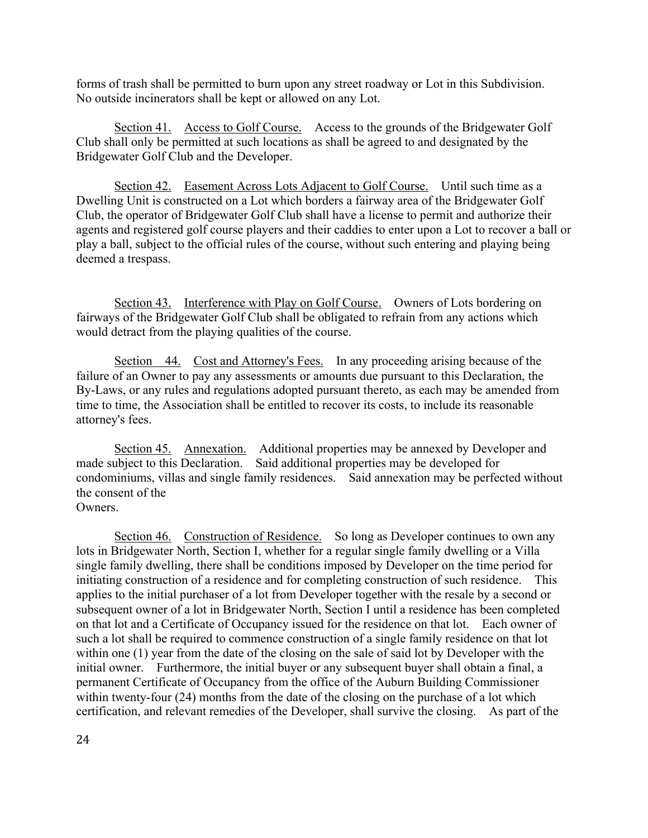forms of trash shall be permitted to burn upon any street roadway or Lot in this Subdivision. No outside incinerators shall be kept or allowed on any Lot.

Section 41. Access to Golf Course. Access to the grounds of the Bridgewater Golf Club shall only be permitted at such locations as shall be agreed to and designated by the Bridgewater Golf Club and the Developer.

Section 42. Easement Across Lots Adjacent to Golf Course. Until such time as a Dwelling Unit is constructed on a Lot which borders a fairway area of the Bridgewater Golf Club, the operator of Bridgewater Golf Club shall have a license to permit and authorize their agents and registered golf course players and their caddies to enter upon a Lot to recover a ball or play a ball, subject to the official rules of the course, without such entering and playing being deemed a trespass.

Section 43. Interference with Play on Golf Course. Owners of Lots bordering on fairways of the Bridgewater Golf Club shall be obligated to refrain from any actions which would detract from the playing qualities of the course.

Section 44. Cost and Attorney's Fees. In any proceeding arising because of the failure of an Owner to pay any assessments or amounts due pursuant to this Declaration, the By-Laws, or any rules and regulations adopted pursuant thereto, as each may be amended from time to time, the Association shall be entitled to recover its costs, to include its reasonable attorney's fees.

Section 45. Annexation. Additional properties may be annexed by Developer and made subject to this Declaration. Said additional properties may be developed for condominiums, villas and single family residences. Said annexation may be perfected without the consent of the **Owners** 

Section 46. Construction of Residence. So long as Developer continues to own any lots in Bridgewater North, Section I, whether for a regular single family dwelling or a Villa single family dwelling, there shall be conditions imposed by Developer on the time period for initiating construction of a residence and for completing construction of such residence. This applies to the initial purchaser of a lot from Developer together with the resale by a second or subsequent owner of a lot in Bridgewater North, Section I until a residence has been completed on that lot and a Certificate of Occupancy issued for the residence on that lot. Each owner of such a lot shall be required to commence construction of a single family residence on that lot within one (1) year from the date of the closing on the sale of said lot by Developer with the initial owner. Furthermore, the initial buyer or any subsequent buyer shall obtain a final, a permanent Certificate of Occupancy from the office of the Auburn Building Commissioner within twenty-four (24) months from the date of the closing on the purchase of a lot which certification, and relevant remedies of the Developer, shall survive the closing. As part of the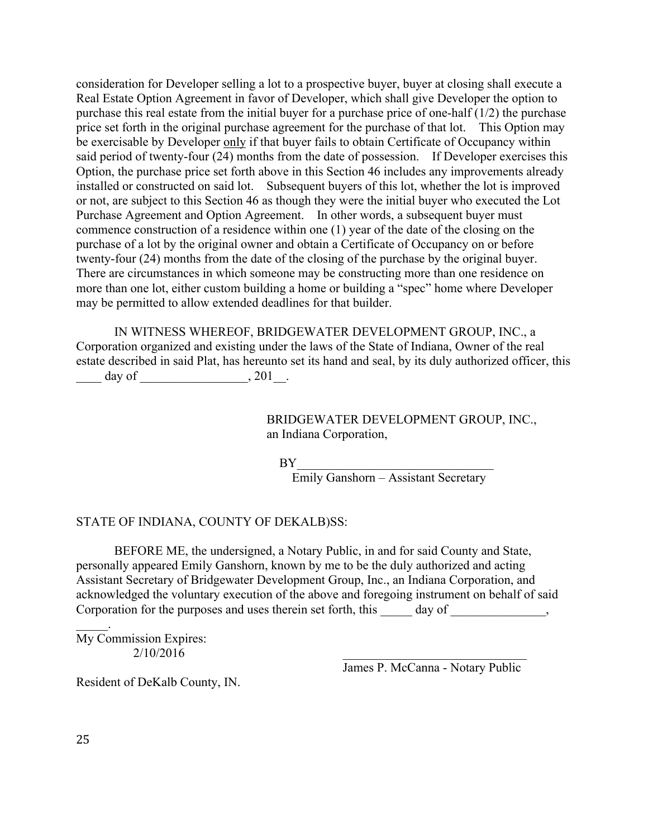consideration for Developer selling a lot to a prospective buyer, buyer at closing shall execute a Real Estate Option Agreement in favor of Developer, which shall give Developer the option to purchase this real estate from the initial buyer for a purchase price of one-half (1/2) the purchase price set forth in the original purchase agreement for the purchase of that lot. This Option may be exercisable by Developer only if that buyer fails to obtain Certificate of Occupancy within said period of twenty-four (24) months from the date of possession. If Developer exercises this Option, the purchase price set forth above in this Section 46 includes any improvements already installed or constructed on said lot. Subsequent buyers of this lot, whether the lot is improved or not, are subject to this Section 46 as though they were the initial buyer who executed the Lot Purchase Agreement and Option Agreement. In other words, a subsequent buyer must commence construction of a residence within one (1) year of the date of the closing on the purchase of a lot by the original owner and obtain a Certificate of Occupancy on or before twenty-four (24) months from the date of the closing of the purchase by the original buyer. There are circumstances in which someone may be constructing more than one residence on more than one lot, either custom building a home or building a "spec" home where Developer may be permitted to allow extended deadlines for that builder.

IN WITNESS WHEREOF, BRIDGEWATER DEVELOPMENT GROUP, INC., a Corporation organized and existing under the laws of the State of Indiana, Owner of the real estate described in said Plat, has hereunto set its hand and seal, by its duly authorized officer, this  $\frac{day \text{ of }_{2000}}{201}$ 

> BRIDGEWATER DEVELOPMENT GROUP, INC., an Indiana Corporation,

 $BY$ 

Emily Ganshorn – Assistant Secretary

### STATE OF INDIANA, COUNTY OF DEKALB)SS:

BEFORE ME, the undersigned, a Notary Public, in and for said County and State, personally appeared Emily Ganshorn, known by me to be the duly authorized and acting Assistant Secretary of Bridgewater Development Group, Inc., an Indiana Corporation, and acknowledged the voluntary execution of the above and foregoing instrument on behalf of said Corporation for the purposes and uses therein set forth, this day of  $\qquad \qquad$ ,

My Commission Expires:  $2/10/2016$ 

James P. McCanna - Notary Public

Resident of DeKalb County, IN.

 $\mathbb{Z}^2$